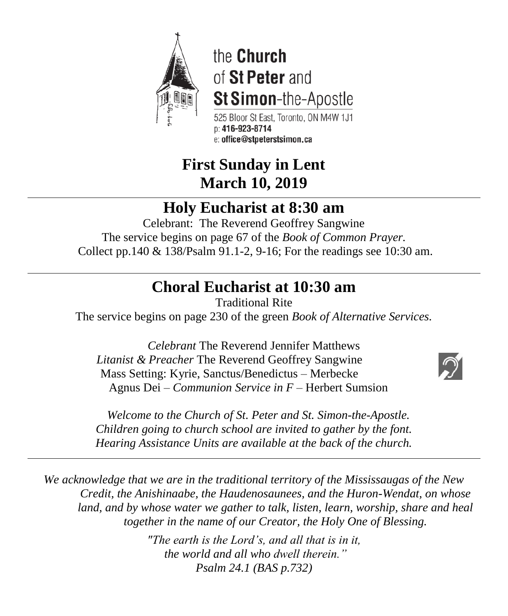

the Church of St Peter and St Simon-the-Apostle

525 Bloor St East. Toronto. ON M4W 1J1  $D: 416 - 923 - 8714$ e: office@stpeterstsimon.ca

# **First Sunday in Lent March 10, 2019**

# **Holy Eucharist at 8:30 am**

Celebrant: The Reverend Geoffrey Sangwine The service begins on page 67 of the *Book of Common Prayer.* Collect pp.140 & 138/Psalm 91.1-2, 9-16; For the readings see 10:30 am.

# **Choral Eucharist at 10:30 am**

Traditional Rite

The service begins on page 230 of the green *Book of Alternative Services.*

*Celebrant* The Reverend Jennifer Matthews *Litanist & Preacher* The Reverend Geoffrey Sangwine Mass Setting: Kyrie, Sanctus/Benedictus – Merbecke Agnus Dei – *Communion Service in F* – Herbert Sumsion



 *Welcome to the Church of St. Peter and St. Simon-the-Apostle. Children going to church school are invited to gather by the font. Hearing Assistance Units are available at the back of the church.*

*We acknowledge that we are in the traditional territory of the Mississaugas of the New Credit, the Anishinaabe, the Haudenosaunees, and the Huron-Wendat, on whose land, and by whose water we gather to talk, listen, learn, worship, share and heal together in the name of our Creator, the Holy One of Blessing.*

> *"The earth is the Lord's, and all that is in it, the world and all who dwell therein." Psalm 24.1 (BAS p.732)*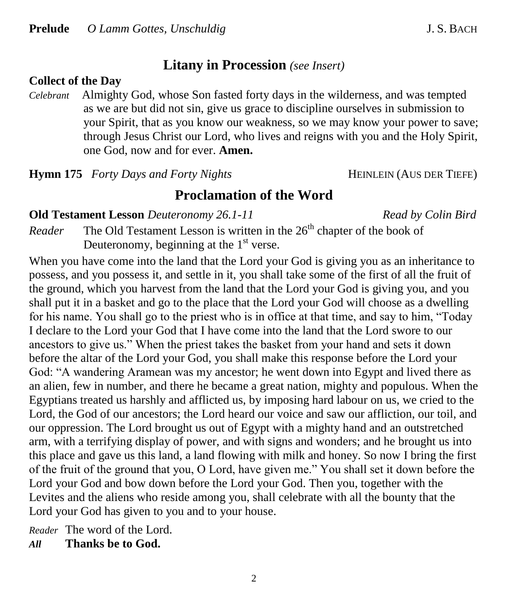## **Litany in Procession** *(see Insert)*

### **Collect of the Day**

*Celebrant* Almighty God, whose Son fasted forty days in the wilderness, and was tempted as we are but did not sin, give us grace to discipline ourselves in submission to your Spirit, that as you know our weakness, so we may know your power to save; through Jesus Christ our Lord, who lives and reigns with you and the Holy Spirit, one God, now and for ever. **Amen.**

**Hymn 175** *Forty Days and Forty Nights* **HEINLEIN** (AUS DER TIEFE)

## **Proclamation of the Word**

### **Old Testament Lesson** *Deuteronomy 26.1-11**Read by Colin Bird*

*Reader* The Old Testament Lesson is written in the 26<sup>th</sup> chapter of the book of Deuteronomy, beginning at the  $1<sup>st</sup>$  verse.

When you have come into the land that the Lord your God is giving you as an inheritance to possess, and you possess it, and settle in it, you shall take some of the first of all the fruit of the ground, which you harvest from the land that the Lord your God is giving you, and you shall put it in a basket and go to the place that the Lord your God will choose as a dwelling for his name. You shall go to the priest who is in office at that time, and say to him, "Today I declare to the Lord your God that I have come into the land that the Lord swore to our ancestors to give us." When the priest takes the basket from your hand and sets it down before the altar of the Lord your God, you shall make this response before the Lord your God: "A wandering Aramean was my ancestor; he went down into Egypt and lived there as an alien, few in number, and there he became a great nation, mighty and populous. When the Egyptians treated us harshly and afflicted us, by imposing hard labour on us, we cried to the Lord, the God of our ancestors; the Lord heard our voice and saw our affliction, our toil, and our oppression. The Lord brought us out of Egypt with a mighty hand and an outstretched arm, with a terrifying display of power, and with signs and wonders; and he brought us into this place and gave us this land, a land flowing with milk and honey. So now I bring the first of the fruit of the ground that you, O Lord, have given me." You shall set it down before the Lord your God and bow down before the Lord your God. Then you, together with the Levites and the aliens who reside among you, shall celebrate with all the bounty that the Lord your God has given to you and to your house.

*Reader* The word of the Lord.

*All* **Thanks be to God.**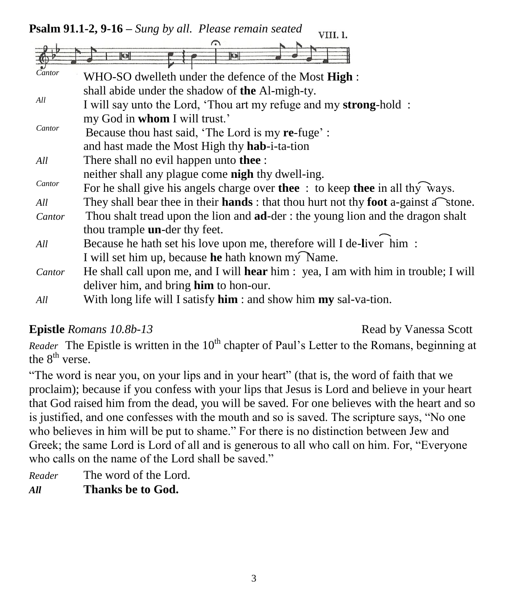**Psalm 91.1-2, 9-16 –** *Sung by all. Please remain seated* VIII. 1.

| Cantor | WHO-SO dwelleth under the defence of the Most High :                                                          |
|--------|---------------------------------------------------------------------------------------------------------------|
|        | shall abide under the shadow of the Al-migh-ty.                                                               |
| All    | I will say unto the Lord, 'Thou art my refuge and my strong-hold :                                            |
|        | my God in whom I will trust.'                                                                                 |
| Cantor | Because thou hast said, 'The Lord is my re-fuge':                                                             |
|        | and hast made the Most High thy hab-i-ta-tion                                                                 |
| All    | There shall no evil happen unto <b>thee</b> :                                                                 |
|        | neither shall any plague come <b>nigh</b> thy dwell-ing.                                                      |
| Cantor | For he shall give his angels charge over the $\epsilon$ : to keep thee in all thy ways.                       |
| All    | They shall bear thee in their <b>hands</b> : that thou hurt not thy <b>foot</b> a-gainst $a^{\dagger}$ stone. |
| Cantor | Thou shalt tread upon the lion and <b>ad</b> -der: the young lion and the dragon shalt                        |
|        | thou trample <b>un</b> -der thy feet.                                                                         |
| All    | Because he hath set his love upon me, therefore will I de-liver him :                                         |
|        | I will set him up, because he hath known my Name.                                                             |
| Cantor | He shall call upon me, and I will <b>hear</b> him: yea, I am with him in trouble; I will                      |
|        | deliver him, and bring him to hon-our.                                                                        |
| All    | With long life will I satisfy $\lim$ : and show him $my$ sal-va-tion.                                         |
|        |                                                                                                               |

## **Epistle** *Romans 10.8b-13* **Read by Vanessa Scott**

*Reader* The Epistle is written in the 10<sup>th</sup> chapter of Paul's Letter to the Romans, beginning at the  $8<sup>th</sup>$  verse.

"The word is near you, on your lips and in your heart" (that is, the word of faith that we proclaim); because if you confess with your lips that Jesus is Lord and believe in your heart that God raised him from the dead, you will be saved. For one believes with the heart and so is justified, and one confesses with the mouth and so is saved. The scripture says, "No one who believes in him will be put to shame." For there is no distinction between Jew and Greek; the same Lord is Lord of all and is generous to all who call on him. For, "Everyone who calls on the name of the Lord shall be saved."

*Reader* The word of the Lord. *All* **Thanks be to God.**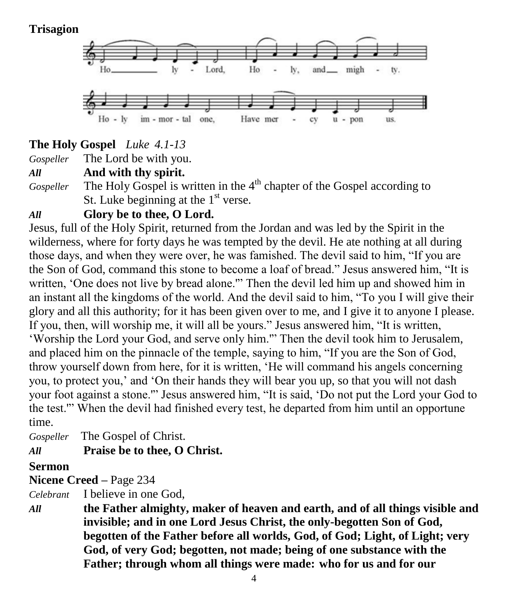## **Trisagion**



## **The Holy Gospel** *Luke 4.1-13*

*Gospeller* The Lord be with you.

*All* **And with thy spirit.**

Gospeller The Holy Gospel is written in the 4<sup>th</sup> chapter of the Gospel according to St. Luke beginning at the  $1<sup>st</sup>$  verse.

## *All* **Glory be to thee, O Lord.**

Jesus, full of the Holy Spirit, returned from the Jordan and was led by the Spirit in the wilderness, where for forty days he was tempted by the devil. He ate nothing at all during those days, and when they were over, he was famished. The devil said to him, "If you are the Son of God, command this stone to become a loaf of bread." Jesus answered him, "It is written, 'One does not live by bread alone.'" Then the devil led him up and showed him in an instant all the kingdoms of the world. And the devil said to him, "To you I will give their glory and all this authority; for it has been given over to me, and I give it to anyone I please. If you, then, will worship me, it will all be yours." Jesus answered him, "It is written, 'Worship the Lord your God, and serve only him.'" Then the devil took him to Jerusalem, and placed him on the pinnacle of the temple, saying to him, "If you are the Son of God, throw yourself down from here, for it is written, 'He will command his angels concerning you, to protect you,' and 'On their hands they will bear you up, so that you will not dash your foot against a stone.'" Jesus answered him, "It is said, 'Do not put the Lord your God to the test.'" When the devil had finished every test, he departed from him until an opportune time.

*Gospeller* The Gospel of Christ.

## *All* **Praise be to thee, O Christ.**

## **Sermon**

**Nicene Creed –** Page 234

*Celebrant* I believe in one God,

*All* **the Father almighty, maker of heaven and earth, and of all things visible and invisible; and in one Lord Jesus Christ, the only-begotten Son of God, begotten of the Father before all worlds, God, of God; Light, of Light; very God, of very God; begotten, not made; being of one substance with the Father; through whom all things were made: who for us and for our**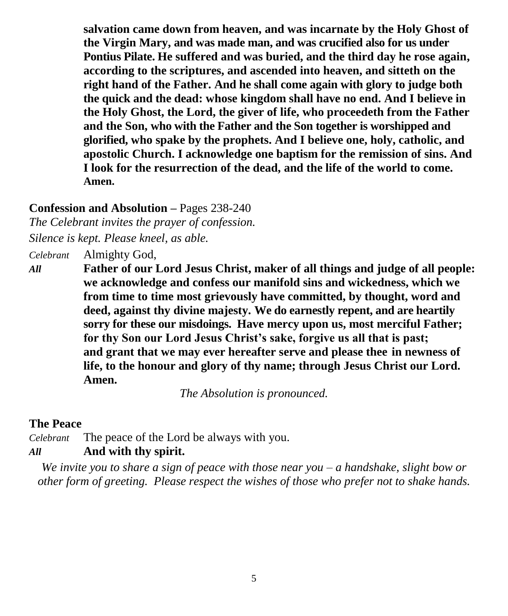**salvation came down from heaven, and was incarnate by the Holy Ghost of the Virgin Mary, and was made man, and was crucified also for us under Pontius Pilate. He suffered and was buried, and the third day he rose again, according to the scriptures, and ascended into heaven, and sitteth on the right hand of the Father. And he shall come again with glory to judge both the quick and the dead: whose kingdom shall have no end. And I believe in the Holy Ghost, the Lord, the giver of life, who proceedeth from the Father and the Son, who with the Father and the Son together is worshipped and glorified, who spake by the prophets. And I believe one, holy, catholic, and apostolic Church. I acknowledge one baptism for the remission of sins. And I look for the resurrection of the dead, and the life of the world to come. Amen.**

## **Confession and Absolution –** Pages 238-240

*The Celebrant invites the prayer of confession.*

*Silence is kept. Please kneel, as able.*

*Celebrant* Almighty God,

*All* **Father of our Lord Jesus Christ, maker of all things and judge of all people: we acknowledge and confess our manifold sins and wickedness, which we from time to time most grievously have committed, by thought, word and deed, against thy divine majesty. We do earnestly repent, and are heartily sorry for these our misdoings. Have mercy upon us, most merciful Father; for thy Son our Lord Jesus Christ's sake, forgive us all that is past; and grant that we may ever hereafter serve and please thee in newness of life, to the honour and glory of thy name; through Jesus Christ our Lord. Amen.**

*The Absolution is pronounced.*

#### **The Peace**

*Celebrant* The peace of the Lord be always with you.

## *All* **And with thy spirit.**

*We invite you to share a sign of peace with those near you – a handshake, slight bow or other form of greeting. Please respect the wishes of those who prefer not to shake hands.*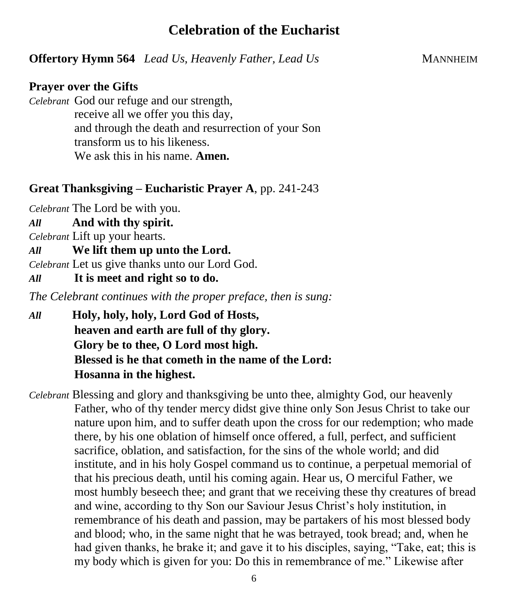## **Celebration of the Eucharist**

**Offertory Hymn 564** *Lead Us, Heavenly Father, Lead Us* MANNHEIM

#### **Prayer over the Gifts**

*Celebrant* God our refuge and our strength, receive all we offer you this day, and through the death and resurrection of your Son transform us to his likeness. We ask this in his name. **Amen.**

### **Great Thanksgiving – Eucharistic Prayer A**, pp. 241-243

*Celebrant* The Lord be with you.

*All* **And with thy spirit.** 

*Celebrant* Lift up your hearts.

*All* **We lift them up unto the Lord.** 

*Celebrant* Let us give thanks unto our Lord God.

*All* **It is meet and right so to do.** 

*The Celebrant continues with the proper preface, then is sung:*

- *All* **Holy, holy, holy, Lord God of Hosts, heaven and earth are full of thy glory. Glory be to thee, O Lord most high. Blessed is he that cometh in the name of the Lord: Hosanna in the highest.**
- *Celebrant* Blessing and glory and thanksgiving be unto thee, almighty God, our heavenly Father, who of thy tender mercy didst give thine only Son Jesus Christ to take our nature upon him, and to suffer death upon the cross for our redemption; who made there, by his one oblation of himself once offered, a full, perfect, and sufficient sacrifice, oblation, and satisfaction, for the sins of the whole world; and did institute, and in his holy Gospel command us to continue, a perpetual memorial of that his precious death, until his coming again. Hear us, O merciful Father, we most humbly beseech thee; and grant that we receiving these thy creatures of bread and wine, according to thy Son our Saviour Jesus Christ's holy institution, in remembrance of his death and passion, may be partakers of his most blessed body and blood; who, in the same night that he was betrayed, took bread; and, when he had given thanks, he brake it; and gave it to his disciples, saying, "Take, eat; this is my body which is given for you: Do this in remembrance of me." Likewise after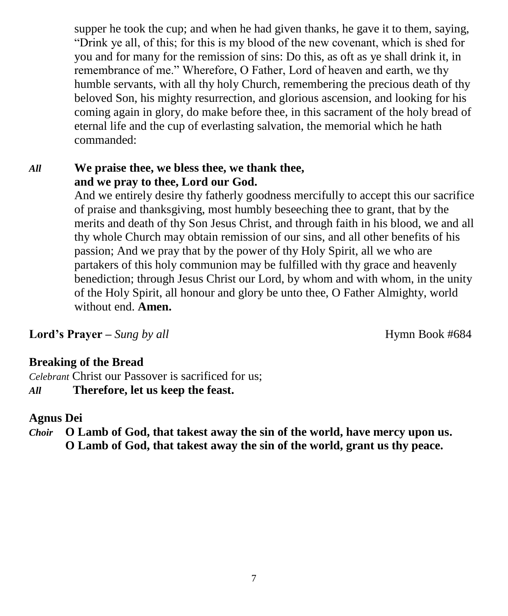supper he took the cup; and when he had given thanks, he gave it to them, saying, "Drink ye all, of this; for this is my blood of the new covenant, which is shed for you and for many for the remission of sins: Do this, as oft as ye shall drink it, in remembrance of me." Wherefore, O Father, Lord of heaven and earth, we thy humble servants, with all thy holy Church, remembering the precious death of thy beloved Son, his mighty resurrection, and glorious ascension, and looking for his coming again in glory, do make before thee, in this sacrament of the holy bread of eternal life and the cup of everlasting salvation, the memorial which he hath commanded:

## *All* **We praise thee, we bless thee, we thank thee, and we pray to thee, Lord our God.**

And we entirely desire thy fatherly goodness mercifully to accept this our sacrifice of praise and thanksgiving, most humbly beseeching thee to grant, that by the merits and death of thy Son Jesus Christ, and through faith in his blood, we and all thy whole Church may obtain remission of our sins, and all other benefits of his passion; And we pray that by the power of thy Holy Spirit, all we who are partakers of this holy communion may be fulfilled with thy grace and heavenly benediction; through Jesus Christ our Lord, by whom and with whom, in the unity of the Holy Spirit, all honour and glory be unto thee, O Father Almighty, world without end. **Amen.** 

**Lord's Prayer** – *Sung by all* Hymn Book #684

## **Breaking of the Bread**

*Celebrant* Christ our Passover is sacrificed for us; *All* **Therefore, let us keep the feast.**

### **Agnus Dei**

*Choir* **O Lamb of God, that takest away the sin of the world, have mercy upon us. O Lamb of God, that takest away the sin of the world, grant us thy peace.**